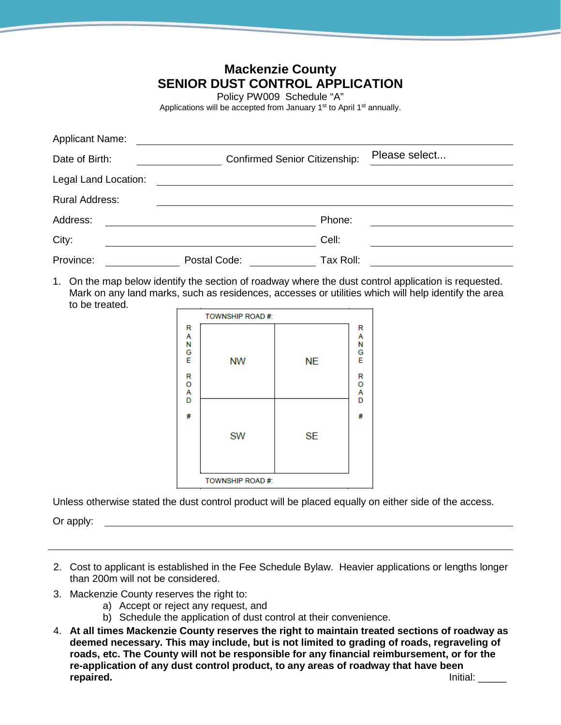| <b>Mackenzie County</b><br><b>SENIOR DUST CONTROL APPLICATION</b><br>Policy PW009 Schedule "A"<br>Applications will be accepted from January 1 <sup>st</sup> to April 1 <sup>st</sup> annually. |                                      |           |               |  |  |
|-------------------------------------------------------------------------------------------------------------------------------------------------------------------------------------------------|--------------------------------------|-----------|---------------|--|--|
| <b>Applicant Name:</b>                                                                                                                                                                          |                                      |           |               |  |  |
| Date of Birth:                                                                                                                                                                                  | <b>Confirmed Senior Citizenship:</b> |           | Please select |  |  |
| Legal Land Location:                                                                                                                                                                            |                                      |           |               |  |  |
| <b>Rural Address:</b>                                                                                                                                                                           |                                      |           |               |  |  |
| Address:                                                                                                                                                                                        |                                      | Phone:    |               |  |  |
| City:                                                                                                                                                                                           |                                      | Cell:     |               |  |  |
| Province:                                                                                                                                                                                       | Postal Code:                         | Tax Roll: |               |  |  |

1. On the map below identify the section of roadway where the dust control application is requested. Mark on any land marks, such as residences, accesses or utilities which will help identify the area to be treated.

|                  | TOWNSHIP ROAD #: |           |                       |
|------------------|------------------|-----------|-----------------------|
| R A N G E        | <b>NW</b>        | <b>NE</b> | R<br>A<br>N<br>G<br>E |
| R<br>O<br>A<br>D |                  |           | R<br>O<br>A<br>D      |
| #                | <b>SW</b>        | <b>SE</b> | #                     |
|                  | TOWNSHIP ROAD #: |           |                       |

Unless otherwise stated the dust control product will be placed equally on either side of the access.

Or apply:

- 2. Cost to applicant is established in the Fee Schedule Bylaw. Heavier applications or lengths longer than 200m will not be considered.
- 3. Mackenzie County reserves the right to:
	- a) Accept or reject any request, and
	- b) Schedule the application of dust control at their convenience.
- 4. **At all times Mackenzie County reserves the right to maintain treated sections of roadway as deemed necessary. This may include, but is not limited to grading of roads, regraveling of roads, etc. The County will not be responsible for any financial reimbursement, or for the re-application of any dust control product, to any areas of roadway that have been rainal:** *report*